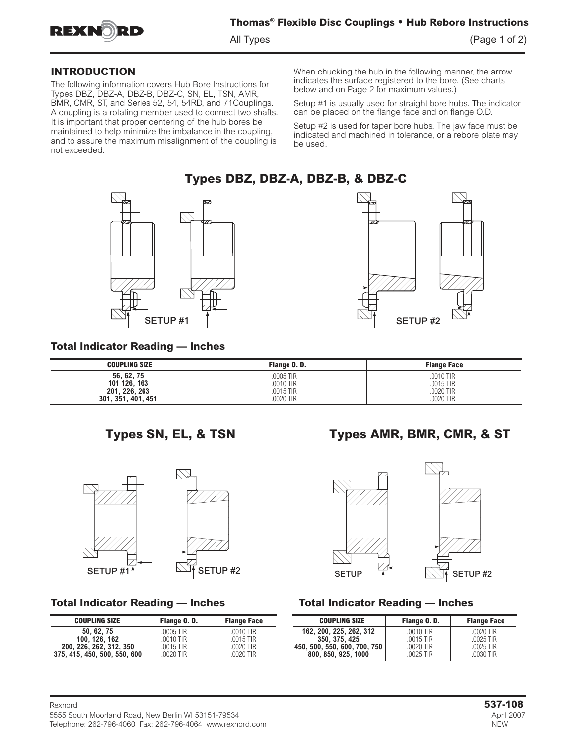

#### **INTRODUCTION**

The following information covers Hub Bore Instructions for Types DBZ, DBZ-A, DBZ-B, DBZ-C, SN, EL, TSN, AMR, BMR, CMR, ST, and Series 52, 54, 54RD, and 71Couplings. A coupling is a rotating member used to connect two shafts. It is important that proper centering of the hub bores be maintained to help minimize the imbalance in the coupling, and to assure the maximum misalignment of the coupling is not exceeded.

When chucking the hub in the following manner, the arrow indicates the surface registered to the bore. (See charts below and on Page 2 for maximum values.)

Setup #1 is usually used for straight bore hubs. The indicator can be placed on the flange face and on flange O.D.

Setup #2 is used for taper bore hubs. The jaw face must be indicated and machined in tolerance, or a rebore plate may be used.

## **Types DBZ, DBZ-A, DBZ-B, & DBZ-C**





## **Total Indicator Reading — Inches**

| <b>COUPLING SIZE</b> | Flange O.D. | <b>Flange Face</b> |
|----------------------|-------------|--------------------|
| 56, 62, 75           | .0005 TIR   | .0010 TIR          |
| 101 126, 163         | .0010 TIR   | .0015 TIR          |
| 201.226.263          | .0015 TIR   | 0020 TIR           |
| 301, 351, 401, 451   | .0020 TIR   | 0020 TIR           |



| <b>COUPLING SIZE</b>                     | Flange O.D.            | <b>Flange Face</b>         |  |
|------------------------------------------|------------------------|----------------------------|--|
| 50, 62, 75                               | .0005 TIR              | $.0010$ TIR                |  |
| 100, 126, 162<br>200, 226, 262, 312, 350 | .0010 TIR<br>.0015 TIR | $.0015$ TIR<br>$.0020$ TIR |  |
| 375, 415, 450, 500, 550, 600             | .0020 TIR              | $.0020$ TIR                |  |

# **Types SN, EL, & TSN Types AMR, BMR, CMR, & ST**



## **Total Indicator Reading — Inches Total Indicator Reading — Inches**

| COUPLING SIZE                                                               | Flange O.D.                                      | <b>Flange Face</b>                               | <b>COUPLING SIZE</b>                                                                         | Flange O.D.                                        | <b>Flange Face</b>                               |
|-----------------------------------------------------------------------------|--------------------------------------------------|--------------------------------------------------|----------------------------------------------------------------------------------------------|----------------------------------------------------|--------------------------------------------------|
| 50, 62, 75<br>100, 126, 162<br>226, 262, 312, 350<br> 5, 450, 500, 550, 600 | .0005 TIR<br>.0010 TIR<br>.0015 TIR<br>.0020 TIR | .0010 TIR<br>.0015 TIR<br>.0020 TIR<br>.0020 TIR | 162. 200. 225. 262. 312<br>350. 375. 425<br>450, 500, 550, 600, 700, 750<br>800.850.925.1000 | .0010 TIR<br>$.0015$ TIR<br>.0020 TIR<br>.0025 TIR | .0020 TIR<br>.0025 TIR<br>.0025 TIR<br>.0030 TIR |